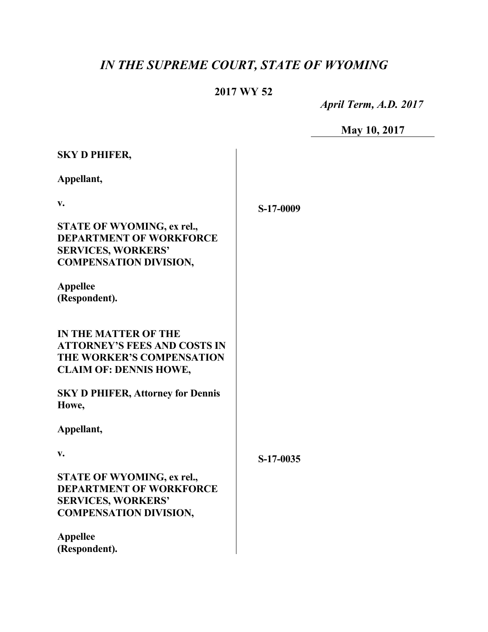## *IN THE SUPREME COURT, STATE OF WYOMING*

## **2017 WY 52**

 *April Term, A.D. 2017*

**May 10, 2017**

| <b>SKY D PHIFER,</b>                                                                                                              |           |
|-----------------------------------------------------------------------------------------------------------------------------------|-----------|
| Appellant,                                                                                                                        |           |
| V.                                                                                                                                | S-17-0009 |
| STATE OF WYOMING, ex rel.,<br><b>DEPARTMENT OF WORKFORCE</b><br><b>SERVICES, WORKERS'</b><br><b>COMPENSATION DIVISION,</b>        |           |
| <b>Appellee</b><br>(Respondent).                                                                                                  |           |
| <b>IN THE MATTER OF THE</b><br><b>ATTORNEY'S FEES AND COSTS IN</b><br>THE WORKER'S COMPENSATION<br><b>CLAIM OF: DENNIS HOWE,</b>  |           |
| <b>SKY D PHIFER, Attorney for Dennis</b><br>Howe,                                                                                 |           |
| Appellant,                                                                                                                        |           |
| V.                                                                                                                                | S-17-0035 |
| <b>STATE OF WYOMING, ex rel.,</b><br><b>DEPARTMENT OF WORKFORCE</b><br><b>SERVICES, WORKERS'</b><br><b>COMPENSATION DIVISION,</b> |           |
| <b>Appellee</b><br>(Respondent).                                                                                                  |           |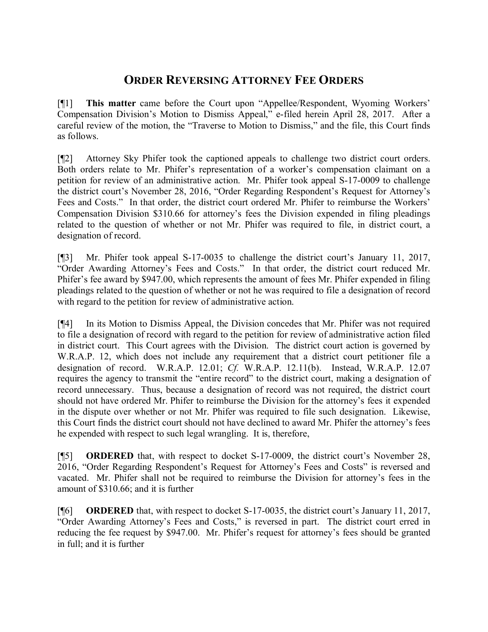## **ORDER REVERSING ATTORNEY FEE ORDERS**

[¶1] **This matter** came before the Court upon "Appellee/Respondent, Wyoming Workers' Compensation Division's Motion to Dismiss Appeal," e-filed herein April 28, 2017. After a careful review of the motion, the "Traverse to Motion to Dismiss," and the file, this Court finds as follows.

[¶2] Attorney Sky Phifer took the captioned appeals to challenge two district court orders. Both orders relate to Mr. Phifer's representation of a worker's compensation claimant on a petition for review of an administrative action. Mr. Phifer took appeal S-17-0009 to challenge the district court's November 28, 2016, "Order Regarding Respondent's Request for Attorney's Fees and Costs." In that order, the district court ordered Mr. Phifer to reimburse the Workers' Compensation Division \$310.66 for attorney's fees the Division expended in filing pleadings related to the question of whether or not Mr. Phifer was required to file, in district court, a designation of record.

[¶3] Mr. Phifer took appeal S-17-0035 to challenge the district court's January 11, 2017, "Order Awarding Attorney's Fees and Costs." In that order, the district court reduced Mr. Phifer's fee award by \$947.00, which represents the amount of fees Mr. Phifer expended in filing pleadings related to the question of whether or not he was required to file a designation of record with regard to the petition for review of administrative action.

[¶4] In its Motion to Dismiss Appeal, the Division concedes that Mr. Phifer was not required to file a designation of record with regard to the petition for review of administrative action filed in district court. This Court agrees with the Division. The district court action is governed by W.R.A.P. 12, which does not include any requirement that a district court petitioner file a designation of record. W.R.A.P. 12.01; *Cf.* W.R.A.P. 12.11(b). Instead, W.R.A.P. 12.07 requires the agency to transmit the "entire record" to the district court, making a designation of record unnecessary. Thus, because a designation of record was not required, the district court should not have ordered Mr. Phifer to reimburse the Division for the attorney's fees it expended in the dispute over whether or not Mr. Phifer was required to file such designation. Likewise, this Court finds the district court should not have declined to award Mr. Phifer the attorney's fees he expended with respect to such legal wrangling. It is, therefore,

[¶5] **ORDERED** that, with respect to docket S-17-0009, the district court's November 28, 2016, "Order Regarding Respondent's Request for Attorney's Fees and Costs" is reversed and vacated. Mr. Phifer shall not be required to reimburse the Division for attorney's fees in the amount of \$310.66; and it is further

[¶6] **ORDERED** that, with respect to docket S-17-0035, the district court's January 11, 2017, "Order Awarding Attorney's Fees and Costs," is reversed in part. The district court erred in reducing the fee request by \$947.00. Mr. Phifer's request for attorney's fees should be granted in full; and it is further